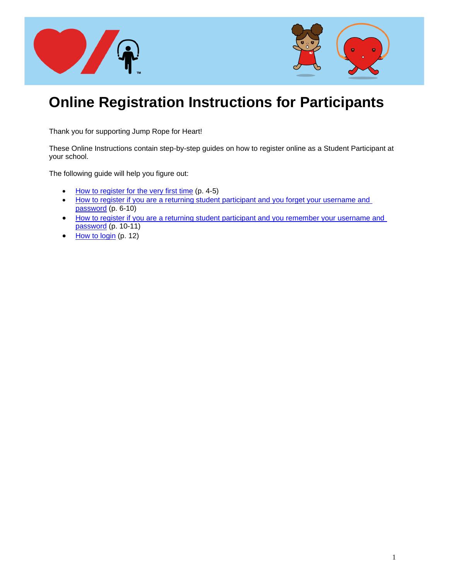

# **Online Registration Instructions for Participants**

Thank you for supporting Jump Rope for Heart!

These Online Instructions contain step-by-step guides on how to register online as a Student Participant at your school.

The following guide will help you figure out:

- [How to register for the very first time](#page-2-0) (p. 4-5)
- How to register if you are a returning student participant and you forget your username and [password](#page-5-0) (p. 6-10)
- [How to register if you are a returning student participant and you remember your username and](#page-9-0)  [password](#page-9-0) (p. 10-11)
- [How to login](#page-11-0) (p. 12)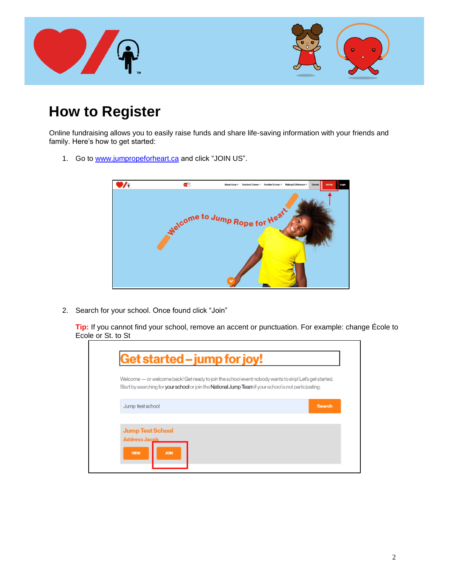

# **How to Register**

Online fundraising allows you to easily raise funds and share life-saving information with your friends and family. Here's how to get started:

1. Go to [www.jumpropeforheart.ca](http://www.jumpropeforheart.ca/) and click "JOIN US".



2. Search for your school. Once found click "Join"

**Tip:** If you cannot find your school, remove an accent or punctuation. For example: change École to Ecole or St. to St

|                         |                                                                                                                      | Welcome — or welcome back! Get ready to join the school event nobody wants to skip! Let's get started. |
|-------------------------|----------------------------------------------------------------------------------------------------------------------|--------------------------------------------------------------------------------------------------------|
|                         | Start by searching for <b>your school</b> or join the <b>National Jump Team</b> if your school is not participating: |                                                                                                        |
| Jump test school        |                                                                                                                      | <b>Search</b>                                                                                          |
|                         |                                                                                                                      |                                                                                                        |
| <b>Jump Test School</b> |                                                                                                                      |                                                                                                        |
| <b>Address Jacob</b>    |                                                                                                                      |                                                                                                        |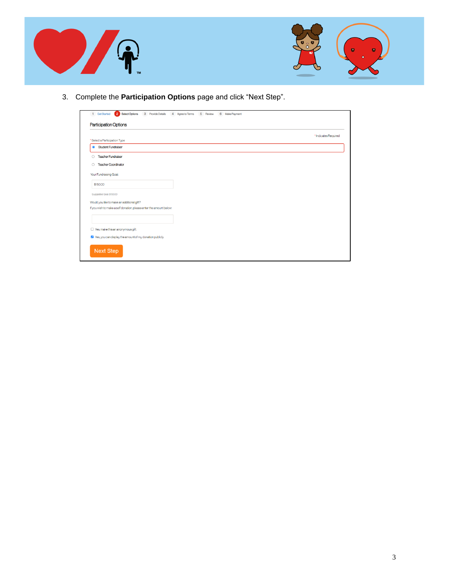



3. Complete the **Participation Options** page and click "Next Step".

<span id="page-2-0"></span>

| 2 Select Options<br>1 Get Started<br>3 Provide Details              | 4 Agree to Terms<br>5 Review<br>6 Make Payment |
|---------------------------------------------------------------------|------------------------------------------------|
| <b>Participation Options</b>                                        |                                                |
|                                                                     | *Indicates Required                            |
| * Select a Participation Type                                       |                                                |
| <b>Student Fundraiser</b><br>$\bullet$                              |                                                |
| <b>Teacher Fundraiser</b><br>Ο                                      |                                                |
| <b>Teacher Coordinator</b><br>O                                     |                                                |
|                                                                     |                                                |
| Your Fundraising Goal:                                              |                                                |
| \$150.00                                                            |                                                |
| Suggested Goal: \$150.00                                            |                                                |
| Would you like to make an additional gift?                          |                                                |
| If you wish to make a self donation, please enter the amount below: |                                                |
|                                                                     |                                                |
|                                                                     |                                                |
| $\Box$ Yes, make this an anonymous gift.                            |                                                |
| Yes, you can display the amount of my donation publicly.            |                                                |
| <b>Next Step</b>                                                    |                                                |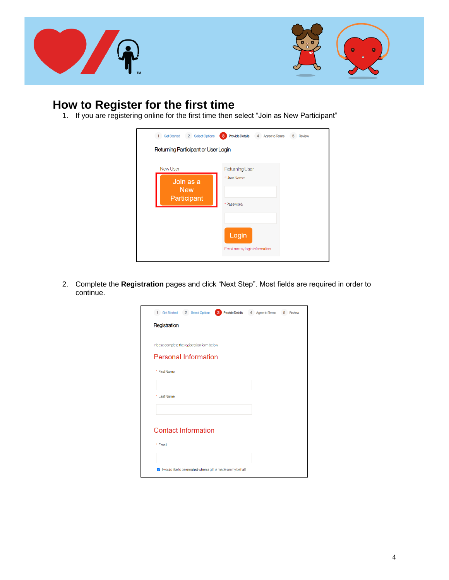



## **How to Register for the first time**

1. If you are registering online for the first time then select "Join as New Participant"

| 2 Select Options<br><b>Get Started</b>             | <b>Provide Details</b><br>$\mathbf{3}$<br>4 Agree to Terms<br>5<br>Review |
|----------------------------------------------------|---------------------------------------------------------------------------|
| Returning Participant or User Login                |                                                                           |
| New User<br>Join as a<br><b>New</b><br>Participant | Returning User<br>* User Name:<br>* Password:<br>Login                    |
|                                                    | Email me my login information                                             |

2. Complete the **Registration** pages and click "Next Step". Most fields are required in order to continue.

| <b>Provide Details</b><br>1 Get Started<br>2 Select Options<br>3 | 4 Agree to Terms | 5 Review |
|------------------------------------------------------------------|------------------|----------|
| Registration                                                     |                  |          |
|                                                                  |                  |          |
| Please complete the registration form below                      |                  |          |
| <b>Personal Information</b>                                      |                  |          |
| * First Name                                                     |                  |          |
|                                                                  |                  |          |
| * Last Name                                                      |                  |          |
|                                                                  |                  |          |
|                                                                  |                  |          |
| <b>Contact Information</b>                                       |                  |          |
| * Email:                                                         |                  |          |
|                                                                  |                  |          |
| V I would like to be emailed when a gift is made on my behalf.   |                  |          |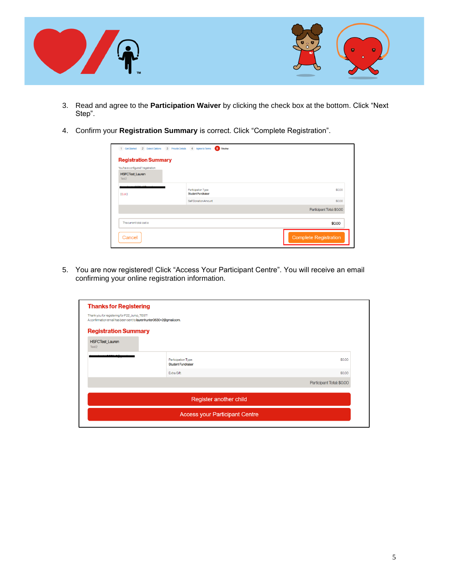

- 3. Read and agree to the **Participation Waiver** by clicking the check box at the bottom. Click "Next Step".
- 4. Confirm your **Registration Summary** is correct. Click "Complete Registration".

| You have configured 1 registration.         |                                                  |                           |
|---------------------------------------------|--------------------------------------------------|---------------------------|
| <b>HSFCTest_Lauren</b><br>Test <sub>2</sub> |                                                  |                           |
| 0000-08-<br>[Edit]                          | Participation Type:<br><b>Student Fundraiser</b> | \$0.00                    |
|                                             | Self Donation Amount                             | \$0.00                    |
|                                             |                                                  | Participant Total: \$0.00 |
| The current total cost is                   |                                                  | \$0.00                    |

5. You are now registered! Click "Access Your Participant Centre". You will receive an email confirming your online registration information.

| <b>Thanks for Registering</b>                                                                                       |                                                  |                           |
|---------------------------------------------------------------------------------------------------------------------|--------------------------------------------------|---------------------------|
| Thank you for registering for F22_Jump_TEST!<br>A confirmation email has been sent to laurenhunter0630+2@gmail.com. |                                                  |                           |
| <b>Registration Summary</b>                                                                                         |                                                  |                           |
| <b>HSFCTest_Lauren</b><br>Test <sub>2</sub>                                                                         |                                                  |                           |
|                                                                                                                     | Participation Type:<br><b>Student Fundraiser</b> | \$0.00                    |
|                                                                                                                     | <b>Extra Gift:</b>                               | \$0.00                    |
|                                                                                                                     |                                                  | Participant Total: \$0.00 |
|                                                                                                                     |                                                  |                           |
|                                                                                                                     | Register another child                           |                           |
|                                                                                                                     | <b>Access your Participant Centre</b>            |                           |
|                                                                                                                     |                                                  |                           |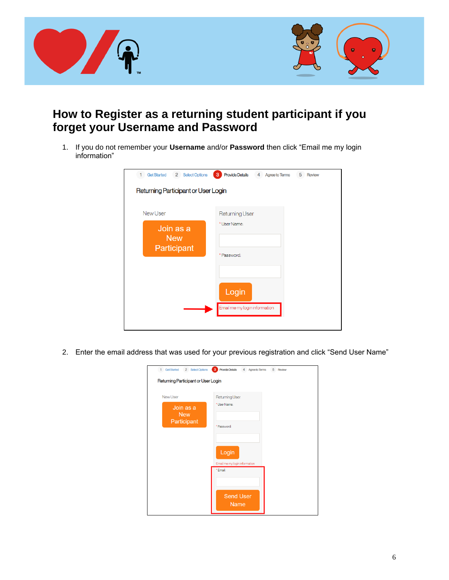

### <span id="page-5-0"></span>**How to Register as a returning student participant if you forget your Username and Password**

1. If you do not remember your **Username** and/or **Password** then click "Email me my login information"

| Returning Participant or User Login<br><b>New User</b><br><b>Returning User</b><br>* User Name:<br>Join as a<br><b>New</b><br>Participant<br>* Password:<br>Login<br>Email me my login information | 2 Select Options<br><b>Get Started</b> | <b>3</b> Provide Details<br>4 Agree to Terms<br>5 Review |
|----------------------------------------------------------------------------------------------------------------------------------------------------------------------------------------------------|----------------------------------------|----------------------------------------------------------|
|                                                                                                                                                                                                    |                                        |                                                          |
|                                                                                                                                                                                                    |                                        |                                                          |
|                                                                                                                                                                                                    |                                        |                                                          |
|                                                                                                                                                                                                    |                                        |                                                          |
|                                                                                                                                                                                                    |                                        |                                                          |

2. Enter the email address that was used for your previous registration and click "Send User Name"

| Returning Participant or User Login | 1 GetStarted 2 SelectOptions 3 ProvideDetails 4 Agree to Terms<br>5 Review |
|-------------------------------------|----------------------------------------------------------------------------|
| New User<br>Join as a<br><b>New</b> | <b>Returning User</b><br>* User Name:                                      |
| Participant                         | * Password:                                                                |
|                                     | Login<br>Email me my login information                                     |
|                                     | *Email:                                                                    |
|                                     | <b>Send User</b><br><b>Name</b>                                            |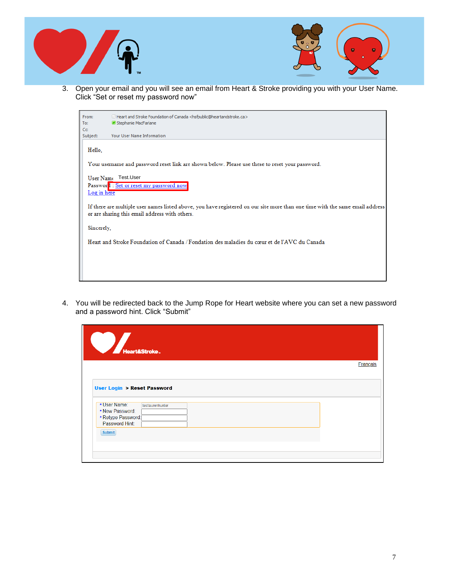



3. Open your email and you will see an email from Heart & Stroke providing you with your User Name. Click "Set or reset my password now"



4. You will be redirected back to the Jump Rope for Heart website where you can set a new password and a password hint. Click "Submit"

| Heart&Stroke.                                                                                                   |                  |  |          |
|-----------------------------------------------------------------------------------------------------------------|------------------|--|----------|
|                                                                                                                 |                  |  | Français |
| <b>User Login &gt; Reset Password</b><br>* User Name:<br>* New Password:<br>*Retype Password:<br>Password Hint: | testlaurenhunter |  |          |
| <b>Submit</b>                                                                                                   |                  |  |          |
|                                                                                                                 |                  |  |          |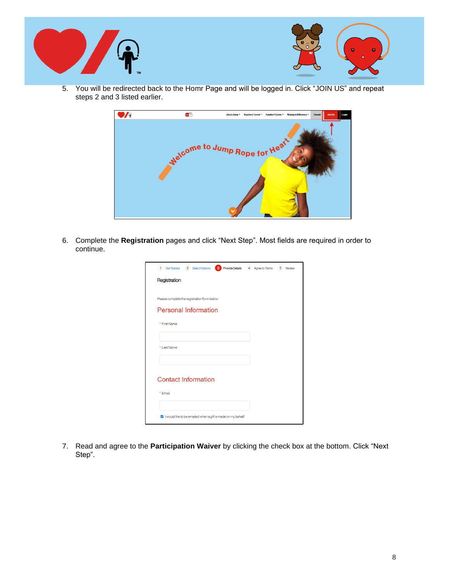



5. You will be redirected back to the Homr Page and will be logged in. Click "JOIN US" and repeat steps 2 and 3 listed earlier.



6. Complete the **Registration** pages and click "Next Step". Most fields are required in order to continue.

| <b>3</b> Provide Details 4 Agree to Terms<br>1 Get Started 2 Select Options | 5 Review |
|-----------------------------------------------------------------------------|----------|
| Registration                                                                |          |
|                                                                             |          |
| Please complete the registration form below                                 |          |
| <b>Personal Information</b>                                                 |          |
| * First Name                                                                |          |
|                                                                             |          |
| * Last Name                                                                 |          |
|                                                                             |          |
|                                                                             |          |
| <b>Contact Information</b>                                                  |          |
| * Fmail:                                                                    |          |
|                                                                             |          |
| V I would like to be emailed when a gift is made on my behalf.              |          |

7. Read and agree to the **Participation Waiver** by clicking the check box at the bottom. Click "Next Step".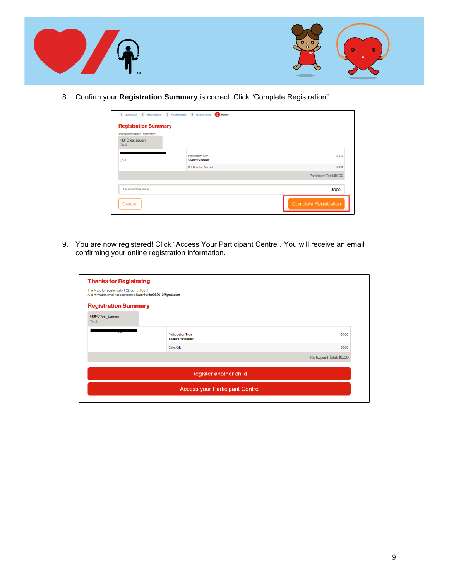



8. Confirm your **Registration Summary** is correct. Click "Complete Registration".

| You have configured 1 registration.         |                                                  |                           |
|---------------------------------------------|--------------------------------------------------|---------------------------|
| <b>HSFCTest_Lauren</b><br>Test <sub>2</sub> |                                                  |                           |
| [Edit]                                      | Participation Type:<br><b>Student Fundraiser</b> | \$0.00                    |
|                                             | Self Donation Amount                             | \$0.00                    |
|                                             |                                                  | Participant Total: \$0.00 |
| The current total cost is                   |                                                  | \$0.00                    |

9. You are now registered! Click "Access Your Participant Centre". You will receive an email confirming your online registration information.

| <b>Thanks for Registering</b>                                                                                       |                                                  |                           |
|---------------------------------------------------------------------------------------------------------------------|--------------------------------------------------|---------------------------|
| Thank you for registering for F22_Jump_TEST!<br>A confirmation email has been sent to laurenhunter0630+2@gmail.com. |                                                  |                           |
| <b>Registration Summary</b>                                                                                         |                                                  |                           |
| <b>HSFCTest Lauren</b><br>Test <sub>2</sub>                                                                         |                                                  |                           |
|                                                                                                                     | Participation Type:<br><b>Student Fundraiser</b> | \$0.00                    |
|                                                                                                                     | Extra Gift:                                      | \$0.00                    |
|                                                                                                                     |                                                  | Participant Total: \$0.00 |
|                                                                                                                     | Register another child                           |                           |
|                                                                                                                     | <b>Access your Participant Centre</b>            |                           |
|                                                                                                                     |                                                  |                           |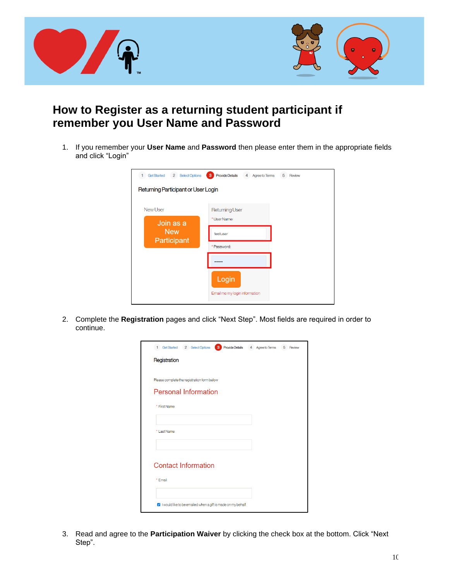

### <span id="page-9-0"></span>**How to Register as a returning student participant if remember you User Name and Password**

1. If you remember your **User Name** and **Password** then please enter them in the appropriate fields and click "Login"

| 2 Select Options<br><b>Get Started</b> | 3<br><b>Provide Details</b><br>4 Agree to Terms | 5 Review |  |
|----------------------------------------|-------------------------------------------------|----------|--|
| Returning Participant or User Login    |                                                 |          |  |
| <b>New User</b><br>Join as a           | <b>Returning User</b><br>* User Name:           |          |  |
| <b>New</b><br>Participant              | testuser                                        |          |  |
|                                        | * Password:                                     |          |  |
|                                        |                                                 |          |  |
|                                        | Login<br>Email me my login information          |          |  |
|                                        |                                                 |          |  |

2. Complete the **Registration** pages and click "Next Step". Most fields are required in order to continue.

| 1 Get Started 2 Select Options<br><b>Provide Details</b><br>3  | 4 Agree to Terms | 5 Review |
|----------------------------------------------------------------|------------------|----------|
| Registration                                                   |                  |          |
|                                                                |                  |          |
| Please complete the registration form below                    |                  |          |
| <b>Personal Information</b>                                    |                  |          |
| * First Name                                                   |                  |          |
|                                                                |                  |          |
| * Last Name                                                    |                  |          |
|                                                                |                  |          |
|                                                                |                  |          |
| <b>Contact Information</b>                                     |                  |          |
| * Email:                                                       |                  |          |
|                                                                |                  |          |
| V I would like to be emailed when a gift is made on my behalf. |                  |          |

3. Read and agree to the **Participation Waiver** by clicking the check box at the bottom. Click "Next Step".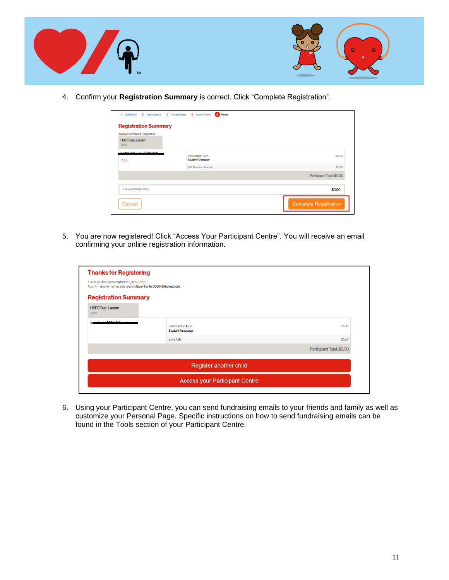



4. Confirm your **Registration Summary** is correct. Click "Complete Registration".

| <b>Registration Summary</b><br>You have configured 1 registration. |                                                  |                           |
|--------------------------------------------------------------------|--------------------------------------------------|---------------------------|
| <b>HSFCTest_Lauren</b><br>Test <sub>2</sub>                        |                                                  |                           |
| www.conc.com.com<br>[Edit]                                         | Participation Type:<br><b>Student Fundraiser</b> | \$0.00                    |
|                                                                    | Self Donation Amount                             | \$0.00                    |
|                                                                    |                                                  | Participant Total: \$0.00 |
| The current total cost is                                          |                                                  | \$0.00                    |

5. You are now registered! Click "Access Your Participant Centre". You will receive an email confirming your online registration information.

| <b>Thanks for Registering</b>                                                                                       |                                                  |                           |
|---------------------------------------------------------------------------------------------------------------------|--------------------------------------------------|---------------------------|
| Thank you for registering for F22 Jump TEST!<br>A confirmation email has been sent to laurenhunter0630+2@gmail.com. |                                                  |                           |
| <b>Registration Summary</b>                                                                                         |                                                  |                           |
| <b>HSFCTest_Lauren</b><br>Test <sub>2</sub>                                                                         |                                                  |                           |
|                                                                                                                     | Participation Type:<br><b>Student Fundraiser</b> | \$0.00                    |
|                                                                                                                     | Extra Gift:                                      | \$0.00                    |
|                                                                                                                     |                                                  | Participant Total: \$0.00 |
|                                                                                                                     | Register another child                           |                           |
|                                                                                                                     | <b>Access your Participant Centre</b>            |                           |

6. Using your Participant Centre, you can send fundraising emails to your friends and family as well as customize your Personal Page. Specific instructions on how to send fundraising emails can be found in the Tools section of your Participant Centre.